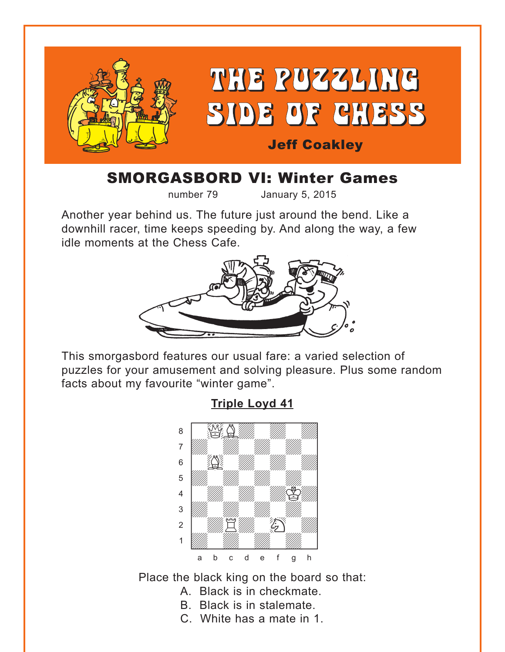<span id="page-0-0"></span>

# SMORGASBORD VI: Winter Games

number 79 January 5, 2015

Another year behind us. The future just around the bend. Like a downhill racer, time keeps speeding by. And along the way, a few idle moments at the Chess Cafe.



This smorgasbord features our usual fare: a varied selection of puzzles for your amusement and solving pleasure. Plus some random facts about my favourite "winter game".

**[Triple Loyd 41](#page-5-0)**



Place the black king on the board so that:

- A. Black is in checkmate.
- B. Black is in stalemate.
- C. White has a mate in 1.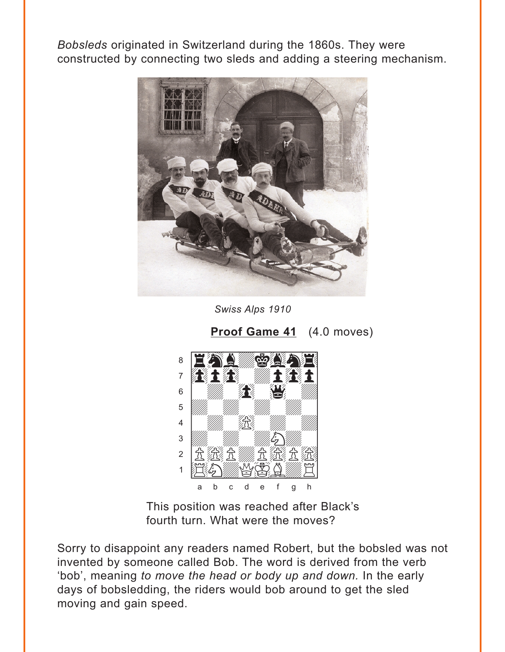<span id="page-1-0"></span>Bobsleds originated in Switzerland during the 1860s. They were constructed by connecting two sleds and adding a steering mechanism.



Swiss Alps 1910

Proof Game 41 (4.0 moves)



This position was reached after Black's fourth turn. What were the moves?

Sorry to disappoint any readers named Robert, but the bobsled was not invented by someone called Bob. The word is derived from the verb 'bob', meaning to move the head or body up and down. In the early days of bobsledding, the riders would bob around to get the sled moving and gain speed.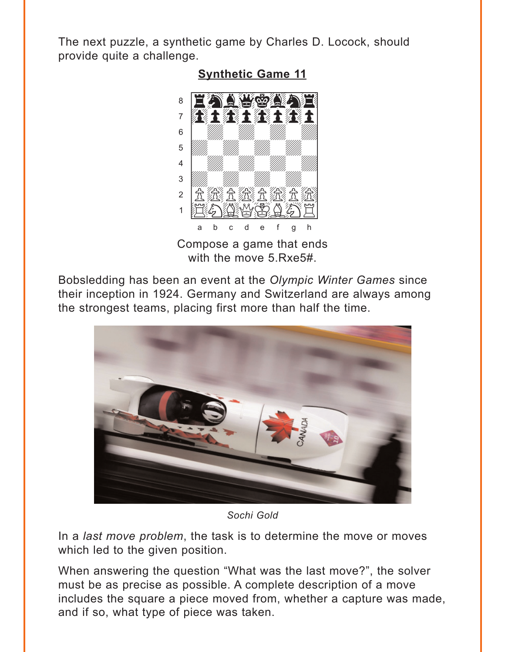<span id="page-2-0"></span>The next puzzle, a synthetic game by Charles D. Locock, should provide quite a challenge.



**Synthetic Game 11** 

Compose a game that ends with the move 5.Rxe5#.

Bobsledding has been an event at the Olympic Winter Games since their inception in 1924. Germany and Switzerland are always among the strongest teams, placing first more than half the time.



Sochi Gold

In a *last move problem*, the task is to determine the move or moves which led to the given position.

When answering the question "What was the last move?", the solver must be as precise as possible. A complete description of a move includes the square a piece moved from, whether a capture was made, and if so, what type of piece was taken.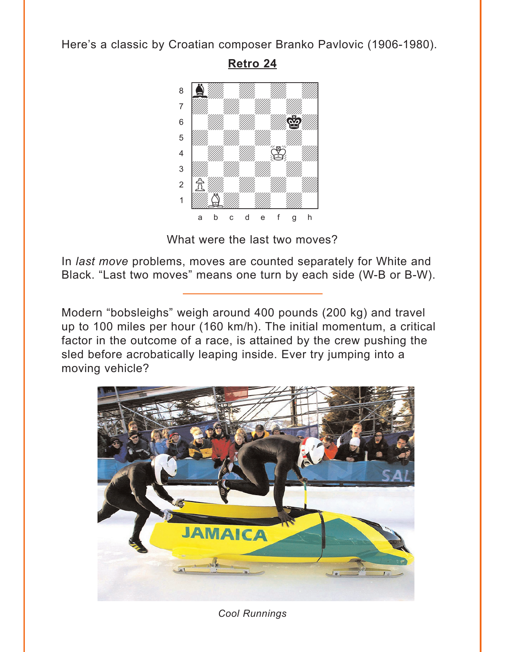<span id="page-3-0"></span>Here's a classic by Croatian composer Branko Pavlovic (1906-1980).

**[Retro 24](#page-7-0)**



What were the last two moves?

In *last move* problems, moves are counted separately for White and Black. "Last two moves" means one turn by each side (W-B or B-W).

Modern "bobsleighs" weigh around 400 pounds (200 kg) and travel up to 100 miles per hour (160 km/h). The initial momentum, a critical factor in the outcome of a race, is attained by the crew pushing the sled before acrobatically leaping inside. Ever try jumping into a moving vehicle?



*Cool Runnings*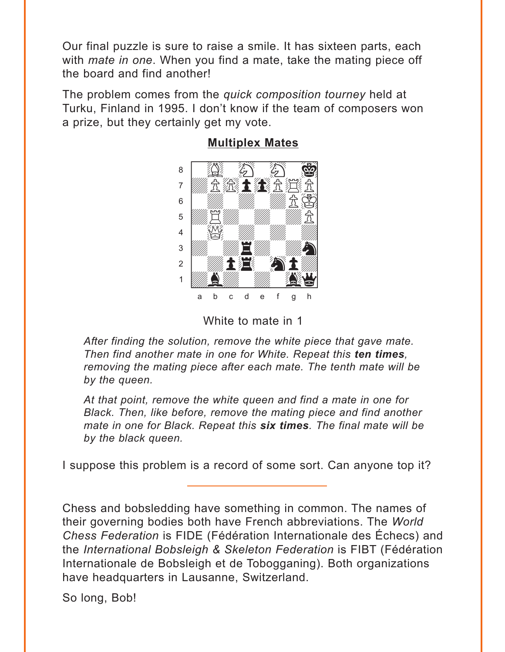<span id="page-4-0"></span>Our final puzzle is sure to raise a smile. It has sixteen parts, each with *mate in one*. When you find a mate, take the mating piece off the board and find another!

The problem comes from the *quick composition tourney* held at Turku, Finland in 1995. I don't know if the team of composers won a prize, but they certainly get my vote.



#### **[Multiplex Mates](#page-8-0)**

White to mate in 1

*After finding the solution, remove the white piece that gave mate. Then find another mate in one for White. Repeat this ten times, removing the mating piece after each mate. The tenth mate will be by the queen.* 

*At that point, remove the white queen and find a mate in one for Black. Then, like before, remove the mating piece and find another mate in one for Black. Repeat this six times. The final mate will be by the black queen.*

I suppose this problem is a record of some sort. Can anyone top it?

Chess and bobsledding have something in common. The names of their governing bodies both have French abbreviations. The *World Chess Federation* is FIDE (Fédération Internationale des Échecs) and the *International Bobsleigh & Skeleton Federation* is FIBT (Fédération Internationale de Bobsleigh et de Tobogganing). Both organizations have headquarters in Lausanne, Switzerland.

So long, Bob!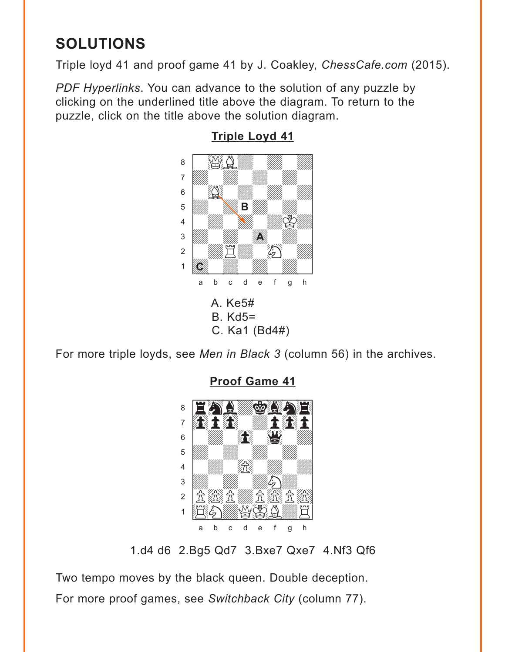# <span id="page-5-0"></span>**SOLUTIONS**

Triple loyd 41 and proof game 41 by J. Coakley, ChessCafe.com (2015).

PDF Hyperlinks. You can advance to the solution of any puzzle by clicking on the underlined title above the diagram. To return to the puzzle, click on the title above the solution diagram.



### **Triple Loyd 41**

For more triple loyds, see Men in Black 3 (column 56) in the archives.



**Proof Game 41** 

1.d4 d6 2.Bg5 Qd7 3.Bxe7 Qxe7 4.Nf3 Qf6

Two tempo moves by the black queen. Double deception. For more proof games, see Switchback City (column 77).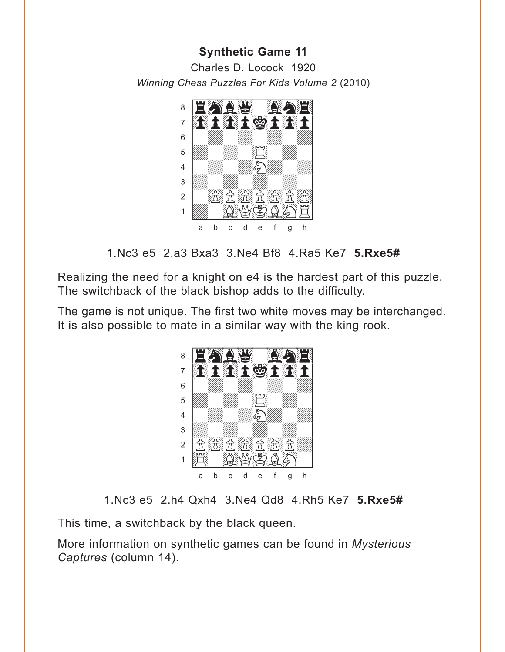#### **[Synthetic Game 11](#page-2-0)**

<span id="page-6-0"></span>Charles D. Locock 1920 *Winning Chess Puzzles For Kids Volume 2* (2010)



1.Nc3 e5 2.a3 Bxa3 3.Ne4 Bf8 4.Ra5 Ke7 **5.Rxe5#**

Realizing the need for a knight on e4 is the hardest part of this puzzle. The switchback of the black bishop adds to the difficulty.

The game is not unique. The first two white moves may be interchanged. It is also possible to mate in a similar way with the king rook.



1.Nc3 e5 2.h4 Qxh4 3.Ne4 Qd8 4.Rh5 Ke7 **5.Rxe5#**

This time, a switchback by the black queen.

More information on synthetic games can be found in *Mysterious Captures* (column 14).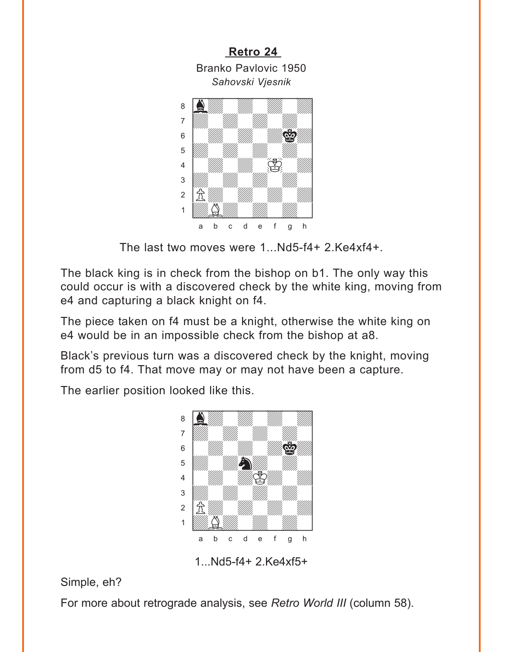<span id="page-7-0"></span>

The last two moves were 1...Nd5-f4+ 2.Ke4xf4+.

The black king is in check from the bishop on b1. The only way this could occur is with a discovered check by the white king, moving from e4 and capturing a black knight on f4.

The piece taken on f4 must be a knight, otherwise the white king on e4 would be in an impossible check from the bishop at a8.

Black's previous turn was a discovered check by the knight, moving from d5 to f4. That move may or may not have been a capture.

The earlier position looked like this.



1...Nd5-f4+ 2.Ke4xf5+

## Simple, eh?

For more about retrograde analysis, see *Retro World III* (column 58).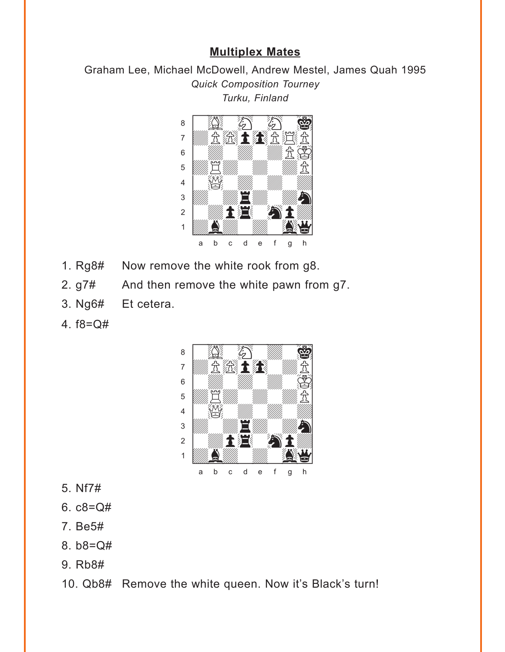#### **[Multiplex Mates](#page-4-0)**

<span id="page-8-0"></span>Graham Lee, Michael McDowell, Andrew Mestel, James Quah 1995 *Quick Composition Tourney Turku, Finland*



- 1. Rg8# Now remove the white rook from g8.
- 2. g7# And then remove the white pawn from g7.
- 3. Ng6# Et cetera.
- 4. f8=Q#



- 5. Nf7#
- 6.  $c8 = Q#$
- 7. Be5#
- 8. b8=Q#
- 9. Rb8#

10. Qb8# Remove the white queen. Now it's Black's turn!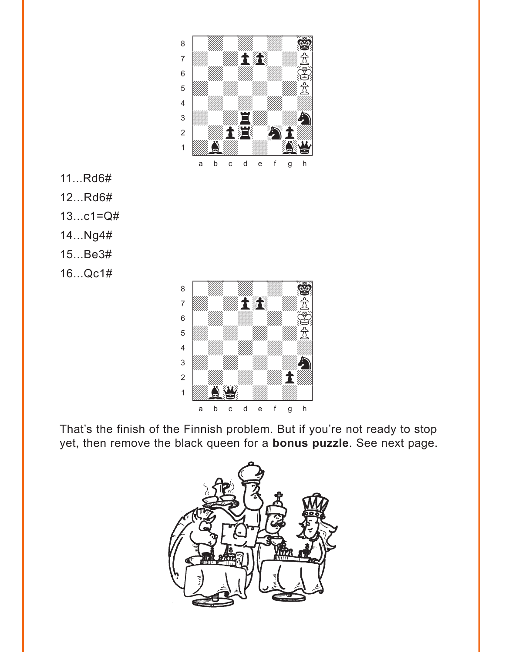

11...Rd6#

12...Rd6#

13...c1=Q#

- 14...Ng4#
- 15...Be3#
- 16...Qc1#

That's the finish of the Finnish problem. But if you're not ready to stop yet, then remove the black queen for a **bonus puzzle**. See next page.

 $\frac{1}{2}$  and  $\frac{1}{2}$  and  $\frac{1}{2}$  and  $\frac{1}{2}$ 1 **Údberg 1970** a b c d e f g h

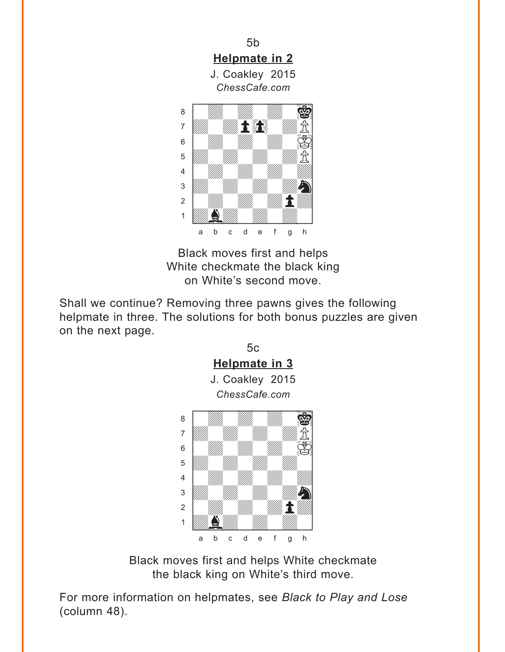<span id="page-10-0"></span>

Black moves first and helps White checkmate the black king on White's second move.

Shall we continue? Removing three pawns gives the following helpmate in three. The solutions for both bonus puzzles are given on the next page.



Black moves first and helps White checkmate the black king on White's third move.

For more information on helpmates, see *Black to Play and Lose* (column 48).